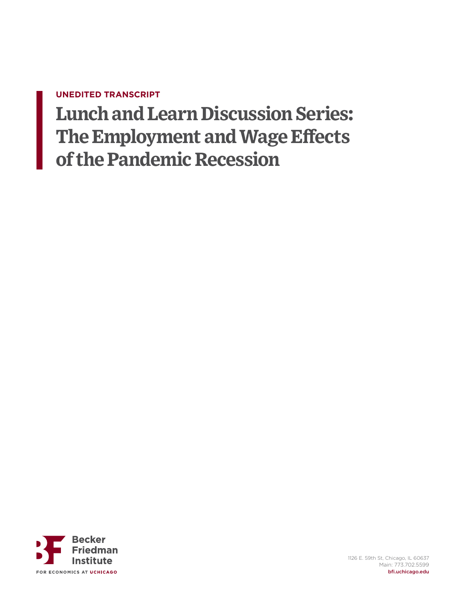## **UNEDITED TRANSCRIPT**

**Lunch and Learn Discussion Series: The Employment and Wage Effects of the Pandemic Recession**

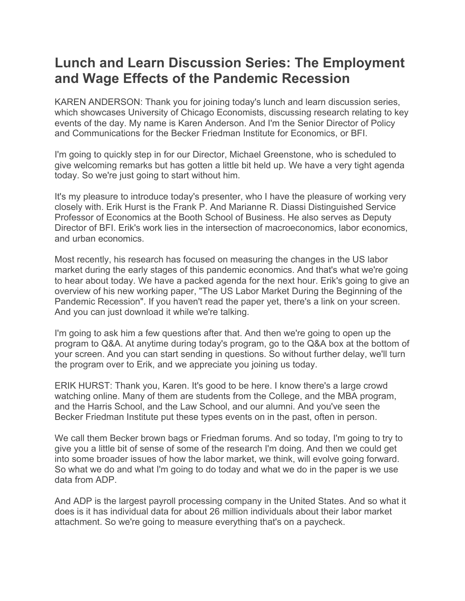## **Lunch and Learn Discussion Series: The Employment and Wage Effects of the Pandemic Recession**

KAREN ANDERSON: Thank you for joining today's lunch and learn discussion series, which showcases University of Chicago Economists, discussing research relating to key events of the day. My name is Karen Anderson. And I'm the Senior Director of Policy and Communications for the Becker Friedman Institute for Economics, or BFI.

I'm going to quickly step in for our Director, Michael Greenstone, who is scheduled to give welcoming remarks but has gotten a little bit held up. We have a very tight agenda today. So we're just going to start without him.

It's my pleasure to introduce today's presenter, who I have the pleasure of working very closely with. Erik Hurst is the Frank P. And Marianne R. Diassi Distinguished Service Professor of Economics at the Booth School of Business. He also serves as Deputy Director of BFI. Erik's work lies in the intersection of macroeconomics, labor economics, and urban economics.

Most recently, his research has focused on measuring the changes in the US labor market during the early stages of this pandemic economics. And that's what we're going to hear about today. We have a packed agenda for the next hour. Erik's going to give an overview of his new working paper, "The US Labor Market During the Beginning of the Pandemic Recession". If you haven't read the paper yet, there's a link on your screen. And you can just download it while we're talking.

I'm going to ask him a few questions after that. And then we're going to open up the program to Q&A. At anytime during today's program, go to the Q&A box at the bottom of your screen. And you can start sending in questions. So without further delay, we'll turn the program over to Erik, and we appreciate you joining us today.

ERIK HURST: Thank you, Karen. It's good to be here. I know there's a large crowd watching online. Many of them are students from the College, and the MBA program, and the Harris School, and the Law School, and our alumni. And you've seen the Becker Friedman Institute put these types events on in the past, often in person.

We call them Becker brown bags or Friedman forums. And so today, I'm going to try to give you a little bit of sense of some of the research I'm doing. And then we could get into some broader issues of how the labor market, we think, will evolve going forward. So what we do and what I'm going to do today and what we do in the paper is we use data from ADP.

And ADP is the largest payroll processing company in the United States. And so what it does is it has individual data for about 26 million individuals about their labor market attachment. So we're going to measure everything that's on a paycheck.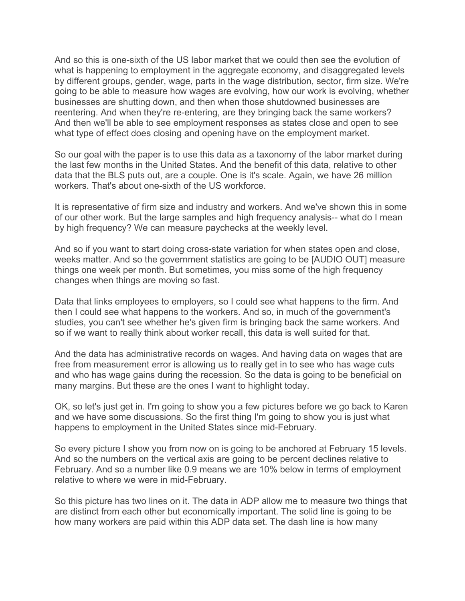And so this is one-sixth of the US labor market that we could then see the evolution of what is happening to employment in the aggregate economy, and disaggregated levels by different groups, gender, wage, parts in the wage distribution, sector, firm size. We're going to be able to measure how wages are evolving, how our work is evolving, whether businesses are shutting down, and then when those shutdowned businesses are reentering. And when they're re-entering, are they bringing back the same workers? And then we'll be able to see employment responses as states close and open to see what type of effect does closing and opening have on the employment market.

So our goal with the paper is to use this data as a taxonomy of the labor market during the last few months in the United States. And the benefit of this data, relative to other data that the BLS puts out, are a couple. One is it's scale. Again, we have 26 million workers. That's about one-sixth of the US workforce.

It is representative of firm size and industry and workers. And we've shown this in some of our other work. But the large samples and high frequency analysis-- what do I mean by high frequency? We can measure paychecks at the weekly level.

And so if you want to start doing cross-state variation for when states open and close, weeks matter. And so the government statistics are going to be [AUDIO OUT] measure things one week per month. But sometimes, you miss some of the high frequency changes when things are moving so fast.

Data that links employees to employers, so I could see what happens to the firm. And then I could see what happens to the workers. And so, in much of the government's studies, you can't see whether he's given firm is bringing back the same workers. And so if we want to really think about worker recall, this data is well suited for that.

And the data has administrative records on wages. And having data on wages that are free from measurement error is allowing us to really get in to see who has wage cuts and who has wage gains during the recession. So the data is going to be beneficial on many margins. But these are the ones I want to highlight today.

OK, so let's just get in. I'm going to show you a few pictures before we go back to Karen and we have some discussions. So the first thing I'm going to show you is just what happens to employment in the United States since mid-February.

So every picture I show you from now on is going to be anchored at February 15 levels. And so the numbers on the vertical axis are going to be percent declines relative to February. And so a number like 0.9 means we are 10% below in terms of employment relative to where we were in mid-February.

So this picture has two lines on it. The data in ADP allow me to measure two things that are distinct from each other but economically important. The solid line is going to be how many workers are paid within this ADP data set. The dash line is how many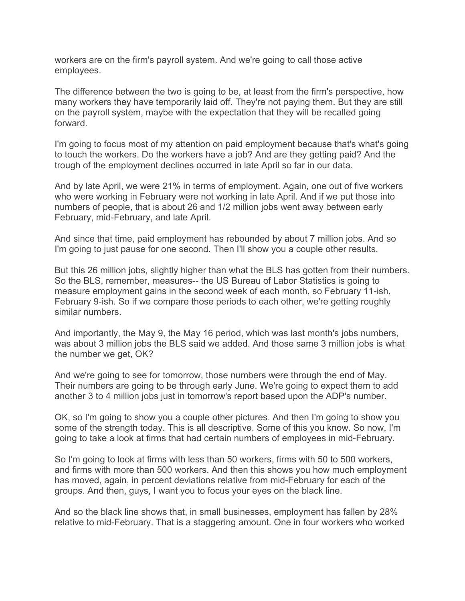workers are on the firm's payroll system. And we're going to call those active employees.

The difference between the two is going to be, at least from the firm's perspective, how many workers they have temporarily laid off. They're not paying them. But they are still on the payroll system, maybe with the expectation that they will be recalled going forward.

I'm going to focus most of my attention on paid employment because that's what's going to touch the workers. Do the workers have a job? And are they getting paid? And the trough of the employment declines occurred in late April so far in our data.

And by late April, we were 21% in terms of employment. Again, one out of five workers who were working in February were not working in late April. And if we put those into numbers of people, that is about 26 and 1/2 million jobs went away between early February, mid-February, and late April.

And since that time, paid employment has rebounded by about 7 million jobs. And so I'm going to just pause for one second. Then I'll show you a couple other results.

But this 26 million jobs, slightly higher than what the BLS has gotten from their numbers. So the BLS, remember, measures-- the US Bureau of Labor Statistics is going to measure employment gains in the second week of each month, so February 11-ish, February 9-ish. So if we compare those periods to each other, we're getting roughly similar numbers.

And importantly, the May 9, the May 16 period, which was last month's jobs numbers, was about 3 million jobs the BLS said we added. And those same 3 million jobs is what the number we get, OK?

And we're going to see for tomorrow, those numbers were through the end of May. Their numbers are going to be through early June. We're going to expect them to add another 3 to 4 million jobs just in tomorrow's report based upon the ADP's number.

OK, so I'm going to show you a couple other pictures. And then I'm going to show you some of the strength today. This is all descriptive. Some of this you know. So now, I'm going to take a look at firms that had certain numbers of employees in mid-February.

So I'm going to look at firms with less than 50 workers, firms with 50 to 500 workers, and firms with more than 500 workers. And then this shows you how much employment has moved, again, in percent deviations relative from mid-February for each of the groups. And then, guys, I want you to focus your eyes on the black line.

And so the black line shows that, in small businesses, employment has fallen by 28% relative to mid-February. That is a staggering amount. One in four workers who worked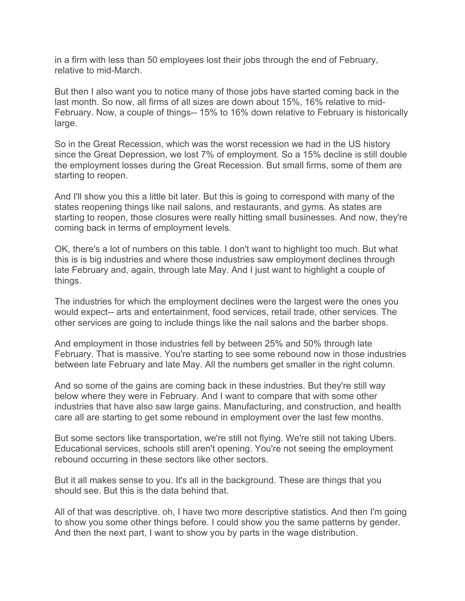in a firm with less than 50 employees lost their jobs through the end of February, relative to mid-March.

But then I also want you to notice many of those jobs have started coming back in the last month. So now, all firms of all sizes are down about 15%, 16% relative to mid-February. Now, a couple of things-- 15% to 16% down relative to February is historically large.

So in the Great Recession, which was the worst recession we had in the US history since the Great Depression, we lost 7% of employment. So a 15% decline is still double the employment losses during the Great Recession. But small firms, some of them are starting to reopen.

And I'll show you this a little bit later. But this is going to correspond with many of the states reopening things like nail salons, and restaurants, and gyms. As states are starting to reopen, those closures were really hitting small businesses. And now, they're coming back in terms of employment levels.

OK, there's a lot of numbers on this table. I don't want to highlight too much. But what this is is big industries and where those industries saw employment declines through late February and, again, through late May. And I just want to highlight a couple of things.

The industries for which the employment declines were the largest were the ones you would expect-- arts and entertainment, food services, retail trade, other services. The other services are going to include things like the nail salons and the barber shops.

And employment in those industries fell by between 25% and 50% through late February. That is massive. You're starting to see some rebound now in those industries between late February and late May. All the numbers get smaller in the right column.

And so some of the gains are coming back in these industries. But they're still way below where they were in February. And I want to compare that with some other industries that have also saw large gains. Manufacturing, and construction, and health care all are starting to get some rebound in employment over the last few months.

But some sectors like transportation, we're still not flying. We're still not taking Ubers. Educational services, schools still aren't opening. You're not seeing the employment rebound occurring in these sectors like other sectors.

But it all makes sense to you. It's all in the background. These are things that you should see. But this is the data behind that.

All of that was descriptive. oh, I have two more descriptive statistics. And then I'm going to show you some other things before. I could show you the same patterns by gender. And then the next part, I want to show you by parts in the wage distribution.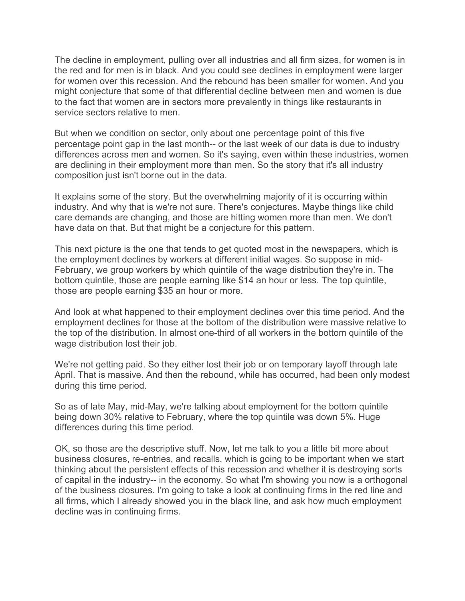The decline in employment, pulling over all industries and all firm sizes, for women is in the red and for men is in black. And you could see declines in employment were larger for women over this recession. And the rebound has been smaller for women. And you might conjecture that some of that differential decline between men and women is due to the fact that women are in sectors more prevalently in things like restaurants in service sectors relative to men.

But when we condition on sector, only about one percentage point of this five percentage point gap in the last month-- or the last week of our data is due to industry differences across men and women. So it's saying, even within these industries, women are declining in their employment more than men. So the story that it's all industry composition just isn't borne out in the data.

It explains some of the story. But the overwhelming majority of it is occurring within industry. And why that is we're not sure. There's conjectures. Maybe things like child care demands are changing, and those are hitting women more than men. We don't have data on that. But that might be a conjecture for this pattern.

This next picture is the one that tends to get quoted most in the newspapers, which is the employment declines by workers at different initial wages. So suppose in mid-February, we group workers by which quintile of the wage distribution they're in. The bottom quintile, those are people earning like \$14 an hour or less. The top quintile, those are people earning \$35 an hour or more.

And look at what happened to their employment declines over this time period. And the employment declines for those at the bottom of the distribution were massive relative to the top of the distribution. In almost one-third of all workers in the bottom quintile of the wage distribution lost their job.

We're not getting paid. So they either lost their job or on temporary layoff through late April. That is massive. And then the rebound, while has occurred, had been only modest during this time period.

So as of late May, mid-May, we're talking about employment for the bottom quintile being down 30% relative to February, where the top quintile was down 5%. Huge differences during this time period.

OK, so those are the descriptive stuff. Now, let me talk to you a little bit more about business closures, re-entries, and recalls, which is going to be important when we start thinking about the persistent effects of this recession and whether it is destroying sorts of capital in the industry-- in the economy. So what I'm showing you now is a orthogonal of the business closures. I'm going to take a look at continuing firms in the red line and all firms, which I already showed you in the black line, and ask how much employment decline was in continuing firms.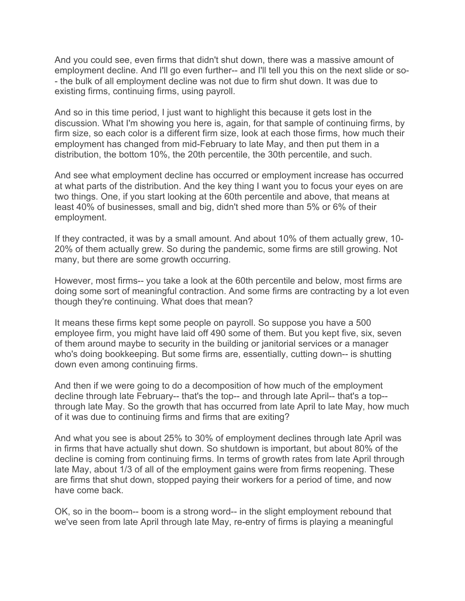And you could see, even firms that didn't shut down, there was a massive amount of employment decline. And I'll go even further-- and I'll tell you this on the next slide or so- - the bulk of all employment decline was not due to firm shut down. It was due to existing firms, continuing firms, using payroll.

And so in this time period, I just want to highlight this because it gets lost in the discussion. What I'm showing you here is, again, for that sample of continuing firms, by firm size, so each color is a different firm size, look at each those firms, how much their employment has changed from mid-February to late May, and then put them in a distribution, the bottom 10%, the 20th percentile, the 30th percentile, and such.

And see what employment decline has occurred or employment increase has occurred at what parts of the distribution. And the key thing I want you to focus your eyes on are two things. One, if you start looking at the 60th percentile and above, that means at least 40% of businesses, small and big, didn't shed more than 5% or 6% of their employment.

If they contracted, it was by a small amount. And about 10% of them actually grew, 10- 20% of them actually grew. So during the pandemic, some firms are still growing. Not many, but there are some growth occurring.

However, most firms-- you take a look at the 60th percentile and below, most firms are doing some sort of meaningful contraction. And some firms are contracting by a lot even though they're continuing. What does that mean?

It means these firms kept some people on payroll. So suppose you have a 500 employee firm, you might have laid off 490 some of them. But you kept five, six, seven of them around maybe to security in the building or janitorial services or a manager who's doing bookkeeping. But some firms are, essentially, cutting down-- is shutting down even among continuing firms.

And then if we were going to do a decomposition of how much of the employment decline through late February-- that's the top-- and through late April-- that's a top- through late May. So the growth that has occurred from late April to late May, how much of it was due to continuing firms and firms that are exiting?

And what you see is about 25% to 30% of employment declines through late April was in firms that have actually shut down. So shutdown is important, but about 80% of the decline is coming from continuing firms. In terms of growth rates from late April through late May, about 1/3 of all of the employment gains were from firms reopening. These are firms that shut down, stopped paying their workers for a period of time, and now have come back.

OK, so in the boom-- boom is a strong word-- in the slight employment rebound that we've seen from late April through late May, re-entry of firms is playing a meaningful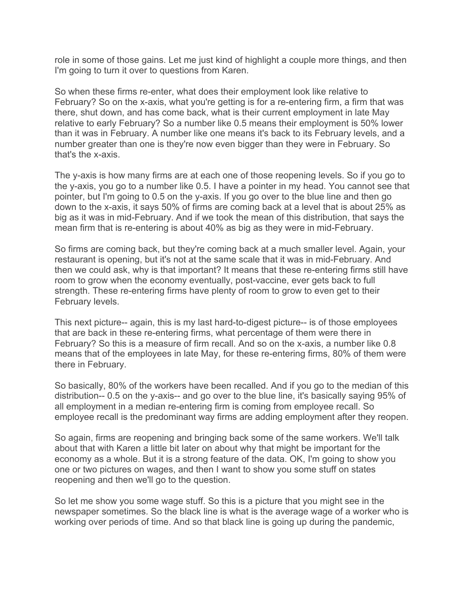role in some of those gains. Let me just kind of highlight a couple more things, and then I'm going to turn it over to questions from Karen.

So when these firms re-enter, what does their employment look like relative to February? So on the x-axis, what you're getting is for a re-entering firm, a firm that was there, shut down, and has come back, what is their current employment in late May relative to early February? So a number like 0.5 means their employment is 50% lower than it was in February. A number like one means it's back to its February levels, and a number greater than one is they're now even bigger than they were in February. So that's the x-axis.

The y-axis is how many firms are at each one of those reopening levels. So if you go to the y-axis, you go to a number like 0.5. I have a pointer in my head. You cannot see that pointer, but I'm going to 0.5 on the y-axis. If you go over to the blue line and then go down to the x-axis, it says 50% of firms are coming back at a level that is about 25% as big as it was in mid-February. And if we took the mean of this distribution, that says the mean firm that is re-entering is about 40% as big as they were in mid-February.

So firms are coming back, but they're coming back at a much smaller level. Again, your restaurant is opening, but it's not at the same scale that it was in mid-February. And then we could ask, why is that important? It means that these re-entering firms still have room to grow when the economy eventually, post-vaccine, ever gets back to full strength. These re-entering firms have plenty of room to grow to even get to their February levels.

This next picture-- again, this is my last hard-to-digest picture-- is of those employees that are back in these re-entering firms, what percentage of them were there in February? So this is a measure of firm recall. And so on the x-axis, a number like 0.8 means that of the employees in late May, for these re-entering firms, 80% of them were there in February.

So basically, 80% of the workers have been recalled. And if you go to the median of this distribution-- 0.5 on the y-axis-- and go over to the blue line, it's basically saying 95% of all employment in a median re-entering firm is coming from employee recall. So employee recall is the predominant way firms are adding employment after they reopen.

So again, firms are reopening and bringing back some of the same workers. We'll talk about that with Karen a little bit later on about why that might be important for the economy as a whole. But it is a strong feature of the data. OK, I'm going to show you one or two pictures on wages, and then I want to show you some stuff on states reopening and then we'll go to the question.

So let me show you some wage stuff. So this is a picture that you might see in the newspaper sometimes. So the black line is what is the average wage of a worker who is working over periods of time. And so that black line is going up during the pandemic,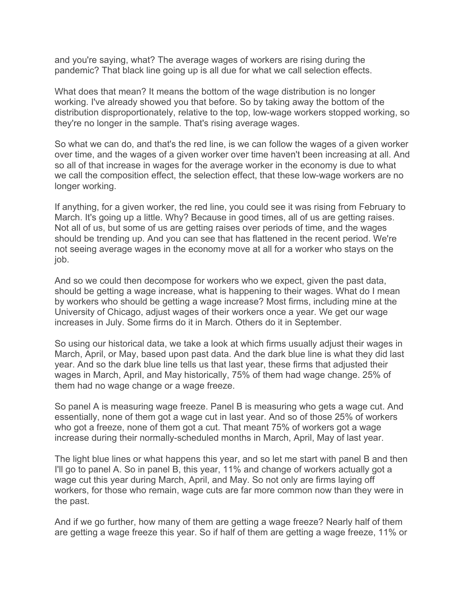and you're saying, what? The average wages of workers are rising during the pandemic? That black line going up is all due for what we call selection effects.

What does that mean? It means the bottom of the wage distribution is no longer working. I've already showed you that before. So by taking away the bottom of the distribution disproportionately, relative to the top, low-wage workers stopped working, so they're no longer in the sample. That's rising average wages.

So what we can do, and that's the red line, is we can follow the wages of a given worker over time, and the wages of a given worker over time haven't been increasing at all. And so all of that increase in wages for the average worker in the economy is due to what we call the composition effect, the selection effect, that these low-wage workers are no longer working.

If anything, for a given worker, the red line, you could see it was rising from February to March. It's going up a little. Why? Because in good times, all of us are getting raises. Not all of us, but some of us are getting raises over periods of time, and the wages should be trending up. And you can see that has flattened in the recent period. We're not seeing average wages in the economy move at all for a worker who stays on the job.

And so we could then decompose for workers who we expect, given the past data, should be getting a wage increase, what is happening to their wages. What do I mean by workers who should be getting a wage increase? Most firms, including mine at the University of Chicago, adjust wages of their workers once a year. We get our wage increases in July. Some firms do it in March. Others do it in September.

So using our historical data, we take a look at which firms usually adjust their wages in March, April, or May, based upon past data. And the dark blue line is what they did last year. And so the dark blue line tells us that last year, these firms that adjusted their wages in March, April, and May historically, 75% of them had wage change. 25% of them had no wage change or a wage freeze.

So panel A is measuring wage freeze. Panel B is measuring who gets a wage cut. And essentially, none of them got a wage cut in last year. And so of those 25% of workers who got a freeze, none of them got a cut. That meant 75% of workers got a wage increase during their normally-scheduled months in March, April, May of last year.

The light blue lines or what happens this year, and so let me start with panel B and then I'll go to panel A. So in panel B, this year, 11% and change of workers actually got a wage cut this year during March, April, and May. So not only are firms laying off workers, for those who remain, wage cuts are far more common now than they were in the past.

And if we go further, how many of them are getting a wage freeze? Nearly half of them are getting a wage freeze this year. So if half of them are getting a wage freeze, 11% or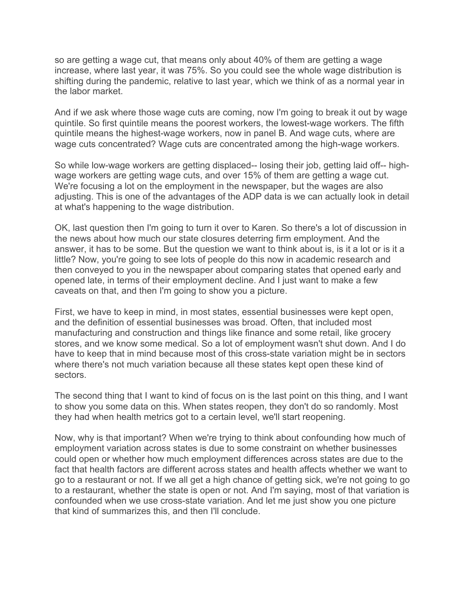so are getting a wage cut, that means only about 40% of them are getting a wage increase, where last year, it was 75%. So you could see the whole wage distribution is shifting during the pandemic, relative to last year, which we think of as a normal year in the labor market.

And if we ask where those wage cuts are coming, now I'm going to break it out by wage quintile. So first quintile means the poorest workers, the lowest-wage workers. The fifth quintile means the highest-wage workers, now in panel B. And wage cuts, where are wage cuts concentrated? Wage cuts are concentrated among the high-wage workers.

So while low-wage workers are getting displaced-- losing their job, getting laid off-- highwage workers are getting wage cuts, and over 15% of them are getting a wage cut. We're focusing a lot on the employment in the newspaper, but the wages are also adjusting. This is one of the advantages of the ADP data is we can actually look in detail at what's happening to the wage distribution.

OK, last question then I'm going to turn it over to Karen. So there's a lot of discussion in the news about how much our state closures deterring firm employment. And the answer, it has to be some. But the question we want to think about is, is it a lot or is it a little? Now, you're going to see lots of people do this now in academic research and then conveyed to you in the newspaper about comparing states that opened early and opened late, in terms of their employment decline. And I just want to make a few caveats on that, and then I'm going to show you a picture.

First, we have to keep in mind, in most states, essential businesses were kept open, and the definition of essential businesses was broad. Often, that included most manufacturing and construction and things like finance and some retail, like grocery stores, and we know some medical. So a lot of employment wasn't shut down. And I do have to keep that in mind because most of this cross-state variation might be in sectors where there's not much variation because all these states kept open these kind of sectors.

The second thing that I want to kind of focus on is the last point on this thing, and I want to show you some data on this. When states reopen, they don't do so randomly. Most they had when health metrics got to a certain level, we'll start reopening.

Now, why is that important? When we're trying to think about confounding how much of employment variation across states is due to some constraint on whether businesses could open or whether how much employment differences across states are due to the fact that health factors are different across states and health affects whether we want to go to a restaurant or not. If we all get a high chance of getting sick, we're not going to go to a restaurant, whether the state is open or not. And I'm saying, most of that variation is confounded when we use cross-state variation. And let me just show you one picture that kind of summarizes this, and then I'll conclude.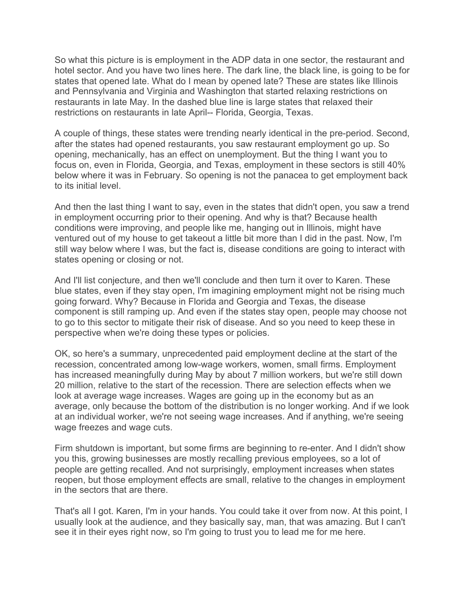So what this picture is is employment in the ADP data in one sector, the restaurant and hotel sector. And you have two lines here. The dark line, the black line, is going to be for states that opened late. What do I mean by opened late? These are states like Illinois and Pennsylvania and Virginia and Washington that started relaxing restrictions on restaurants in late May. In the dashed blue line is large states that relaxed their restrictions on restaurants in late April-- Florida, Georgia, Texas.

A couple of things, these states were trending nearly identical in the pre-period. Second, after the states had opened restaurants, you saw restaurant employment go up. So opening, mechanically, has an effect on unemployment. But the thing I want you to focus on, even in Florida, Georgia, and Texas, employment in these sectors is still 40% below where it was in February. So opening is not the panacea to get employment back to its initial level.

And then the last thing I want to say, even in the states that didn't open, you saw a trend in employment occurring prior to their opening. And why is that? Because health conditions were improving, and people like me, hanging out in Illinois, might have ventured out of my house to get takeout a little bit more than I did in the past. Now, I'm still way below where I was, but the fact is, disease conditions are going to interact with states opening or closing or not.

And I'll list conjecture, and then we'll conclude and then turn it over to Karen. These blue states, even if they stay open, I'm imagining employment might not be rising much going forward. Why? Because in Florida and Georgia and Texas, the disease component is still ramping up. And even if the states stay open, people may choose not to go to this sector to mitigate their risk of disease. And so you need to keep these in perspective when we're doing these types or policies.

OK, so here's a summary, unprecedented paid employment decline at the start of the recession, concentrated among low-wage workers, women, small firms. Employment has increased meaningfully during May by about 7 million workers, but we're still down 20 million, relative to the start of the recession. There are selection effects when we look at average wage increases. Wages are going up in the economy but as an average, only because the bottom of the distribution is no longer working. And if we look at an individual worker, we're not seeing wage increases. And if anything, we're seeing wage freezes and wage cuts.

Firm shutdown is important, but some firms are beginning to re-enter. And I didn't show you this, growing businesses are mostly recalling previous employees, so a lot of people are getting recalled. And not surprisingly, employment increases when states reopen, but those employment effects are small, relative to the changes in employment in the sectors that are there.

That's all I got. Karen, I'm in your hands. You could take it over from now. At this point, I usually look at the audience, and they basically say, man, that was amazing. But I can't see it in their eyes right now, so I'm going to trust you to lead me for me here.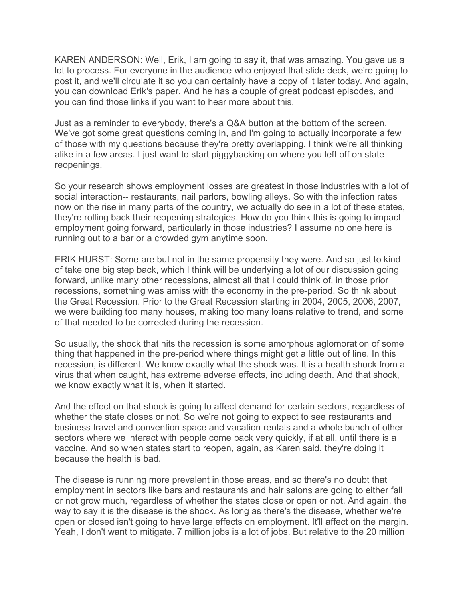KAREN ANDERSON: Well, Erik, I am going to say it, that was amazing. You gave us a lot to process. For everyone in the audience who enjoyed that slide deck, we're going to post it, and we'll circulate it so you can certainly have a copy of it later today. And again, you can download Erik's paper. And he has a couple of great podcast episodes, and you can find those links if you want to hear more about this.

Just as a reminder to everybody, there's a Q&A button at the bottom of the screen. We've got some great questions coming in, and I'm going to actually incorporate a few of those with my questions because they're pretty overlapping. I think we're all thinking alike in a few areas. I just want to start piggybacking on where you left off on state reopenings.

So your research shows employment losses are greatest in those industries with a lot of social interaction-- restaurants, nail parlors, bowling alleys. So with the infection rates now on the rise in many parts of the country, we actually do see in a lot of these states, they're rolling back their reopening strategies. How do you think this is going to impact employment going forward, particularly in those industries? I assume no one here is running out to a bar or a crowded gym anytime soon.

ERIK HURST: Some are but not in the same propensity they were. And so just to kind of take one big step back, which I think will be underlying a lot of our discussion going forward, unlike many other recessions, almost all that I could think of, in those prior recessions, something was amiss with the economy in the pre-period. So think about the Great Recession. Prior to the Great Recession starting in 2004, 2005, 2006, 2007, we were building too many houses, making too many loans relative to trend, and some of that needed to be corrected during the recession.

So usually, the shock that hits the recession is some amorphous aglomoration of some thing that happened in the pre-period where things might get a little out of line. In this recession, is different. We know exactly what the shock was. It is a health shock from a virus that when caught, has extreme adverse effects, including death. And that shock, we know exactly what it is, when it started.

And the effect on that shock is going to affect demand for certain sectors, regardless of whether the state closes or not. So we're not going to expect to see restaurants and business travel and convention space and vacation rentals and a whole bunch of other sectors where we interact with people come back very quickly, if at all, until there is a vaccine. And so when states start to reopen, again, as Karen said, they're doing it because the health is bad.

The disease is running more prevalent in those areas, and so there's no doubt that employment in sectors like bars and restaurants and hair salons are going to either fall or not grow much, regardless of whether the states close or open or not. And again, the way to say it is the disease is the shock. As long as there's the disease, whether we're open or closed isn't going to have large effects on employment. It'll affect on the margin. Yeah, I don't want to mitigate. 7 million jobs is a lot of jobs. But relative to the 20 million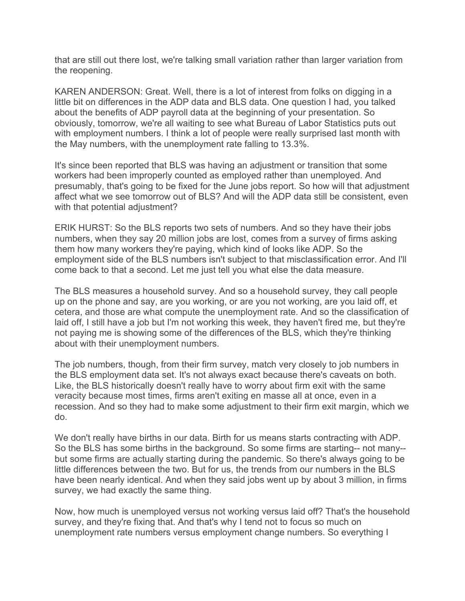that are still out there lost, we're talking small variation rather than larger variation from the reopening.

KAREN ANDERSON: Great. Well, there is a lot of interest from folks on digging in a little bit on differences in the ADP data and BLS data. One question I had, you talked about the benefits of ADP payroll data at the beginning of your presentation. So obviously, tomorrow, we're all waiting to see what Bureau of Labor Statistics puts out with employment numbers. I think a lot of people were really surprised last month with the May numbers, with the unemployment rate falling to 13.3%.

It's since been reported that BLS was having an adjustment or transition that some workers had been improperly counted as employed rather than unemployed. And presumably, that's going to be fixed for the June jobs report. So how will that adjustment affect what we see tomorrow out of BLS? And will the ADP data still be consistent, even with that potential adjustment?

ERIK HURST: So the BLS reports two sets of numbers. And so they have their jobs numbers, when they say 20 million jobs are lost, comes from a survey of firms asking them how many workers they're paying, which kind of looks like ADP. So the employment side of the BLS numbers isn't subject to that misclassification error. And I'll come back to that a second. Let me just tell you what else the data measure.

The BLS measures a household survey. And so a household survey, they call people up on the phone and say, are you working, or are you not working, are you laid off, et cetera, and those are what compute the unemployment rate. And so the classification of laid off, I still have a job but I'm not working this week, they haven't fired me, but they're not paying me is showing some of the differences of the BLS, which they're thinking about with their unemployment numbers.

The job numbers, though, from their firm survey, match very closely to job numbers in the BLS employment data set. It's not always exact because there's caveats on both. Like, the BLS historically doesn't really have to worry about firm exit with the same veracity because most times, firms aren't exiting en masse all at once, even in a recession. And so they had to make some adjustment to their firm exit margin, which we do.

We don't really have births in our data. Birth for us means starts contracting with ADP. So the BLS has some births in the background. So some firms are starting-- not many- but some firms are actually starting during the pandemic. So there's always going to be little differences between the two. But for us, the trends from our numbers in the BLS have been nearly identical. And when they said jobs went up by about 3 million, in firms survey, we had exactly the same thing.

Now, how much is unemployed versus not working versus laid off? That's the household survey, and they're fixing that. And that's why I tend not to focus so much on unemployment rate numbers versus employment change numbers. So everything I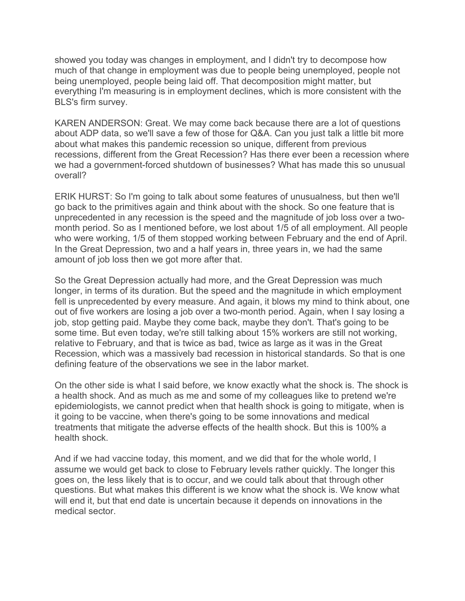showed you today was changes in employment, and I didn't try to decompose how much of that change in employment was due to people being unemployed, people not being unemployed, people being laid off. That decomposition might matter, but everything I'm measuring is in employment declines, which is more consistent with the BLS's firm survey.

KAREN ANDERSON: Great. We may come back because there are a lot of questions about ADP data, so we'll save a few of those for Q&A. Can you just talk a little bit more about what makes this pandemic recession so unique, different from previous recessions, different from the Great Recession? Has there ever been a recession where we had a government-forced shutdown of businesses? What has made this so unusual overall?

ERIK HURST: So I'm going to talk about some features of unusualness, but then we'll go back to the primitives again and think about with the shock. So one feature that is unprecedented in any recession is the speed and the magnitude of job loss over a twomonth period. So as I mentioned before, we lost about 1/5 of all employment. All people who were working, 1/5 of them stopped working between February and the end of April. In the Great Depression, two and a half years in, three years in, we had the same amount of job loss then we got more after that.

So the Great Depression actually had more, and the Great Depression was much longer, in terms of its duration. But the speed and the magnitude in which employment fell is unprecedented by every measure. And again, it blows my mind to think about, one out of five workers are losing a job over a two-month period. Again, when I say losing a job, stop getting paid. Maybe they come back, maybe they don't. That's going to be some time. But even today, we're still talking about 15% workers are still not working, relative to February, and that is twice as bad, twice as large as it was in the Great Recession, which was a massively bad recession in historical standards. So that is one defining feature of the observations we see in the labor market.

On the other side is what I said before, we know exactly what the shock is. The shock is a health shock. And as much as me and some of my colleagues like to pretend we're epidemiologists, we cannot predict when that health shock is going to mitigate, when is it going to be vaccine, when there's going to be some innovations and medical treatments that mitigate the adverse effects of the health shock. But this is 100% a health shock.

And if we had vaccine today, this moment, and we did that for the whole world, I assume we would get back to close to February levels rather quickly. The longer this goes on, the less likely that is to occur, and we could talk about that through other questions. But what makes this different is we know what the shock is. We know what will end it, but that end date is uncertain because it depends on innovations in the medical sector.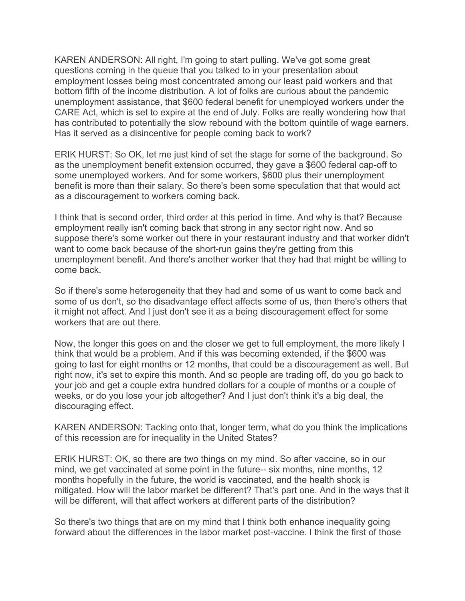KAREN ANDERSON: All right, I'm going to start pulling. We've got some great questions coming in the queue that you talked to in your presentation about employment losses being most concentrated among our least paid workers and that bottom fifth of the income distribution. A lot of folks are curious about the pandemic unemployment assistance, that \$600 federal benefit for unemployed workers under the CARE Act, which is set to expire at the end of July. Folks are really wondering how that has contributed to potentially the slow rebound with the bottom quintile of wage earners. Has it served as a disincentive for people coming back to work?

ERIK HURST: So OK, let me just kind of set the stage for some of the background. So as the unemployment benefit extension occurred, they gave a \$600 federal cap-off to some unemployed workers. And for some workers, \$600 plus their unemployment benefit is more than their salary. So there's been some speculation that that would act as a discouragement to workers coming back.

I think that is second order, third order at this period in time. And why is that? Because employment really isn't coming back that strong in any sector right now. And so suppose there's some worker out there in your restaurant industry and that worker didn't want to come back because of the short-run gains they're getting from this unemployment benefit. And there's another worker that they had that might be willing to come back.

So if there's some heterogeneity that they had and some of us want to come back and some of us don't, so the disadvantage effect affects some of us, then there's others that it might not affect. And I just don't see it as a being discouragement effect for some workers that are out there.

Now, the longer this goes on and the closer we get to full employment, the more likely I think that would be a problem. And if this was becoming extended, if the \$600 was going to last for eight months or 12 months, that could be a discouragement as well. But right now, it's set to expire this month. And so people are trading off, do you go back to your job and get a couple extra hundred dollars for a couple of months or a couple of weeks, or do you lose your job altogether? And I just don't think it's a big deal, the discouraging effect.

KAREN ANDERSON: Tacking onto that, longer term, what do you think the implications of this recession are for inequality in the United States?

ERIK HURST: OK, so there are two things on my mind. So after vaccine, so in our mind, we get vaccinated at some point in the future-- six months, nine months, 12 months hopefully in the future, the world is vaccinated, and the health shock is mitigated. How will the labor market be different? That's part one. And in the ways that it will be different, will that affect workers at different parts of the distribution?

So there's two things that are on my mind that I think both enhance inequality going forward about the differences in the labor market post-vaccine. I think the first of those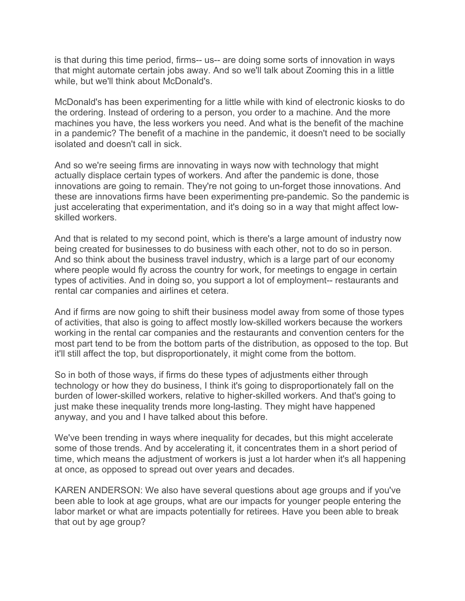is that during this time period, firms-- us-- are doing some sorts of innovation in ways that might automate certain jobs away. And so we'll talk about Zooming this in a little while, but we'll think about McDonald's.

McDonald's has been experimenting for a little while with kind of electronic kiosks to do the ordering. Instead of ordering to a person, you order to a machine. And the more machines you have, the less workers you need. And what is the benefit of the machine in a pandemic? The benefit of a machine in the pandemic, it doesn't need to be socially isolated and doesn't call in sick.

And so we're seeing firms are innovating in ways now with technology that might actually displace certain types of workers. And after the pandemic is done, those innovations are going to remain. They're not going to un-forget those innovations. And these are innovations firms have been experimenting pre-pandemic. So the pandemic is just accelerating that experimentation, and it's doing so in a way that might affect lowskilled workers.

And that is related to my second point, which is there's a large amount of industry now being created for businesses to do business with each other, not to do so in person. And so think about the business travel industry, which is a large part of our economy where people would fly across the country for work, for meetings to engage in certain types of activities. And in doing so, you support a lot of employment-- restaurants and rental car companies and airlines et cetera.

And if firms are now going to shift their business model away from some of those types of activities, that also is going to affect mostly low-skilled workers because the workers working in the rental car companies and the restaurants and convention centers for the most part tend to be from the bottom parts of the distribution, as opposed to the top. But it'll still affect the top, but disproportionately, it might come from the bottom.

So in both of those ways, if firms do these types of adjustments either through technology or how they do business, I think it's going to disproportionately fall on the burden of lower-skilled workers, relative to higher-skilled workers. And that's going to just make these inequality trends more long-lasting. They might have happened anyway, and you and I have talked about this before.

We've been trending in ways where inequality for decades, but this might accelerate some of those trends. And by accelerating it, it concentrates them in a short period of time, which means the adjustment of workers is just a lot harder when it's all happening at once, as opposed to spread out over years and decades.

KAREN ANDERSON: We also have several questions about age groups and if you've been able to look at age groups, what are our impacts for younger people entering the labor market or what are impacts potentially for retirees. Have you been able to break that out by age group?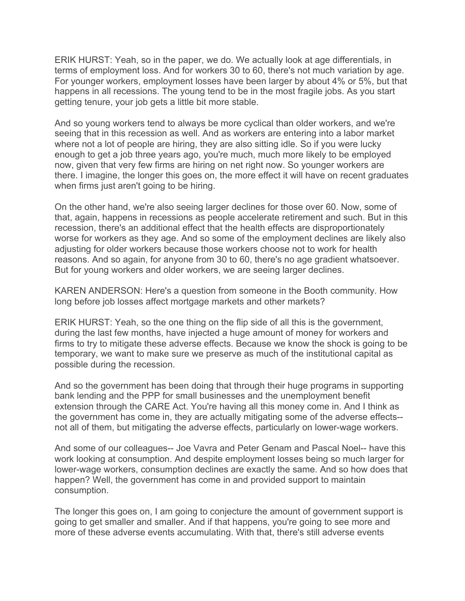ERIK HURST: Yeah, so in the paper, we do. We actually look at age differentials, in terms of employment loss. And for workers 30 to 60, there's not much variation by age. For younger workers, employment losses have been larger by about 4% or 5%, but that happens in all recessions. The young tend to be in the most fragile jobs. As you start getting tenure, your job gets a little bit more stable.

And so young workers tend to always be more cyclical than older workers, and we're seeing that in this recession as well. And as workers are entering into a labor market where not a lot of people are hiring, they are also sitting idle. So if you were lucky enough to get a job three years ago, you're much, much more likely to be employed now, given that very few firms are hiring on net right now. So younger workers are there. I imagine, the longer this goes on, the more effect it will have on recent graduates when firms just aren't going to be hiring.

On the other hand, we're also seeing larger declines for those over 60. Now, some of that, again, happens in recessions as people accelerate retirement and such. But in this recession, there's an additional effect that the health effects are disproportionately worse for workers as they age. And so some of the employment declines are likely also adjusting for older workers because those workers choose not to work for health reasons. And so again, for anyone from 30 to 60, there's no age gradient whatsoever. But for young workers and older workers, we are seeing larger declines.

KAREN ANDERSON: Here's a question from someone in the Booth community. How long before job losses affect mortgage markets and other markets?

ERIK HURST: Yeah, so the one thing on the flip side of all this is the government, during the last few months, have injected a huge amount of money for workers and firms to try to mitigate these adverse effects. Because we know the shock is going to be temporary, we want to make sure we preserve as much of the institutional capital as possible during the recession.

And so the government has been doing that through their huge programs in supporting bank lending and the PPP for small businesses and the unemployment benefit extension through the CARE Act. You're having all this money come in. And I think as the government has come in, they are actually mitigating some of the adverse effects- not all of them, but mitigating the adverse effects, particularly on lower-wage workers.

And some of our colleagues-- Joe Vavra and Peter Genam and Pascal Noel-- have this work looking at consumption. And despite employment losses being so much larger for lower-wage workers, consumption declines are exactly the same. And so how does that happen? Well, the government has come in and provided support to maintain consumption.

The longer this goes on, I am going to conjecture the amount of government support is going to get smaller and smaller. And if that happens, you're going to see more and more of these adverse events accumulating. With that, there's still adverse events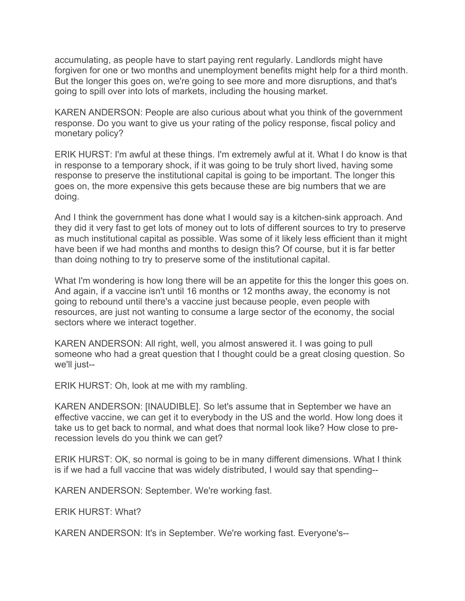accumulating, as people have to start paying rent regularly. Landlords might have forgiven for one or two months and unemployment benefits might help for a third month. But the longer this goes on, we're going to see more and more disruptions, and that's going to spill over into lots of markets, including the housing market.

KAREN ANDERSON: People are also curious about what you think of the government response. Do you want to give us your rating of the policy response, fiscal policy and monetary policy?

ERIK HURST: I'm awful at these things. I'm extremely awful at it. What I do know is that in response to a temporary shock, if it was going to be truly short lived, having some response to preserve the institutional capital is going to be important. The longer this goes on, the more expensive this gets because these are big numbers that we are doing.

And I think the government has done what I would say is a kitchen-sink approach. And they did it very fast to get lots of money out to lots of different sources to try to preserve as much institutional capital as possible. Was some of it likely less efficient than it might have been if we had months and months to design this? Of course, but it is far better than doing nothing to try to preserve some of the institutional capital.

What I'm wondering is how long there will be an appetite for this the longer this goes on. And again, if a vaccine isn't until 16 months or 12 months away, the economy is not going to rebound until there's a vaccine just because people, even people with resources, are just not wanting to consume a large sector of the economy, the social sectors where we interact together.

KAREN ANDERSON: All right, well, you almost answered it. I was going to pull someone who had a great question that I thought could be a great closing question. So we'll just--

ERIK HURST: Oh, look at me with my rambling.

KAREN ANDERSON: [INAUDIBLE]. So let's assume that in September we have an effective vaccine, we can get it to everybody in the US and the world. How long does it take us to get back to normal, and what does that normal look like? How close to prerecession levels do you think we can get?

ERIK HURST: OK, so normal is going to be in many different dimensions. What I think is if we had a full vaccine that was widely distributed, I would say that spending--

KAREN ANDERSON: September. We're working fast.

ERIK HURST: What?

KAREN ANDERSON: It's in September. We're working fast. Everyone's--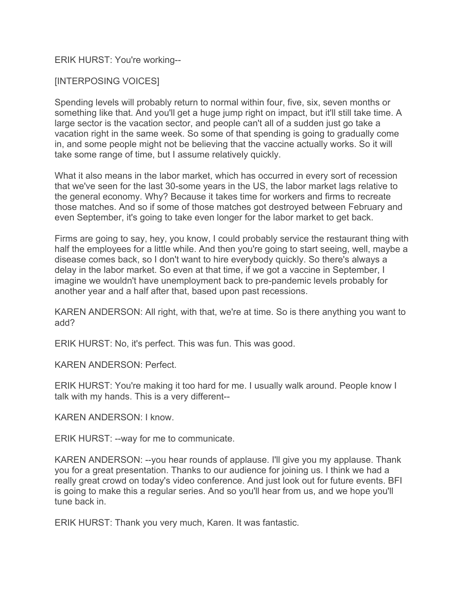## ERIK HURST: You're working--

## [INTERPOSING VOICES]

Spending levels will probably return to normal within four, five, six, seven months or something like that. And you'll get a huge jump right on impact, but it'll still take time. A large sector is the vacation sector, and people can't all of a sudden just go take a vacation right in the same week. So some of that spending is going to gradually come in, and some people might not be believing that the vaccine actually works. So it will take some range of time, but I assume relatively quickly.

What it also means in the labor market, which has occurred in every sort of recession that we've seen for the last 30-some years in the US, the labor market lags relative to the general economy. Why? Because it takes time for workers and firms to recreate those matches. And so if some of those matches got destroyed between February and even September, it's going to take even longer for the labor market to get back.

Firms are going to say, hey, you know, I could probably service the restaurant thing with half the employees for a little while. And then you're going to start seeing, well, maybe a disease comes back, so I don't want to hire everybody quickly. So there's always a delay in the labor market. So even at that time, if we got a vaccine in September, I imagine we wouldn't have unemployment back to pre-pandemic levels probably for another year and a half after that, based upon past recessions.

KAREN ANDERSON: All right, with that, we're at time. So is there anything you want to add?

ERIK HURST: No, it's perfect. This was fun. This was good.

KAREN ANDERSON: Perfect.

ERIK HURST: You're making it too hard for me. I usually walk around. People know I talk with my hands. This is a very different--

KAREN ANDERSON: I know.

ERIK HURST: --way for me to communicate.

KAREN ANDERSON: --you hear rounds of applause. I'll give you my applause. Thank you for a great presentation. Thanks to our audience for joining us. I think we had a really great crowd on today's video conference. And just look out for future events. BFI is going to make this a regular series. And so you'll hear from us, and we hope you'll tune back in.

ERIK HURST: Thank you very much, Karen. It was fantastic.